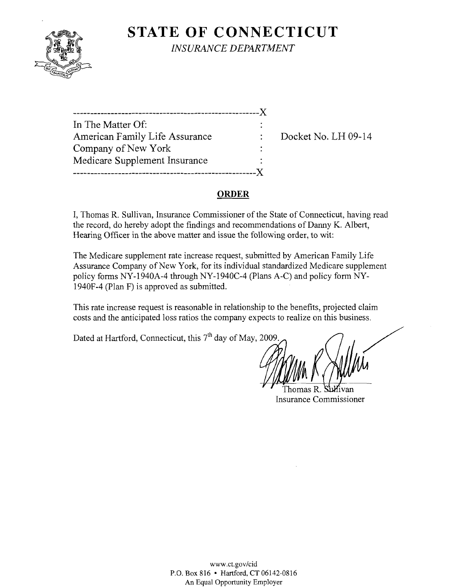

**STATE OF CONNECTICUT** *INSURANCE DEPARTMENT* 

------------------------------------------------------)( In The Matter Of: American Family Life Assurance : Docket No. LH 09-14 Company of New York Medicare Supplement Insurance -----------------------------------------------------)(

#### **ORDER**

I, Thomas R. Sullivan, Insurance Commissioner of the State of Connecticut, having read the record, do hereby adopt the findings and recommendations of Danny K. Albert, Hearing Officer in the above matter and issue the following order, to wit:

The Medicare supplement rate increase request, submitted by American Family Life Assurance Company of New York, for its individual standardized Medicare supplement policy forms NY-1940A-4 through NY-1940C-4 (Plans A-C) and policy form NY-1940F-4 (Plan F) is approved as submitted.

This rate increase request is reasonable in relationship to the benefits, projected claim costs and the anticipated loss ratios the company expects to realize on this business.

Dated at Hartford, Connecticut, this 7<sup>th</sup> day of May, 2009.

Thomas R. Insurance Commissioner

www.ct.gov/cid P.O. Box 816 • Hartford, CT 06142-0816 An Equal Opportunity Employer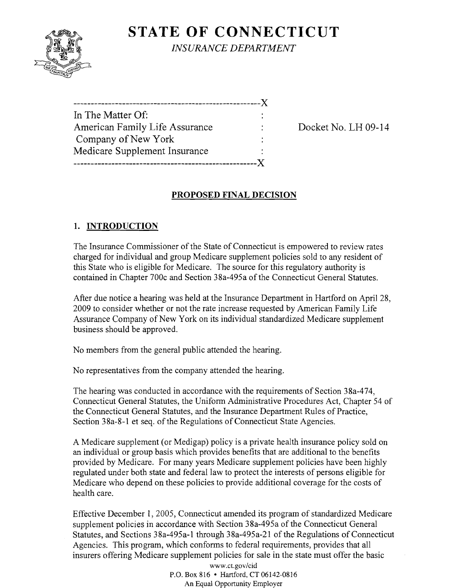

**STATE OF CONNECTICUT** *INSURANCE DEPARTMENT* 

| In The Matter Of:              |  |
|--------------------------------|--|
| American Family Life Assurance |  |
| Company of New York            |  |
| Medicare Supplement Insurance  |  |
|                                |  |

Docket No. LH 09-14

# **PROPOSED FINAL DECISION**

# **1. INTRODUCTION**

The Insurance Commissioner of the State of Connecticut is empowered to review rates charged for individual and group Medicare supplement policies sold to any resident of this State who is eligible for Medicare. The source for this regulatory authority is contained in Chapter 700c and Section 38a-495a of the Connecticut General Statutes.

After due notice a hearing was held at the Insurance Department in Hartford on April 28, 2009 to consider whether or not the rate increase requested by American Family Life Assurance Company of New York on its individual standardized Medicare supplement business should be approved.

No members from the general public attended the hearing.

No representatives from the company attended the hearing.

The hearing was conducted in accordance with the requirements of Section 38a-474, Connecticut General Statutes, the Uniform Administrative Procedures Act, Chapter 54 of the Connecticut General Statutes, and the Insurance Department Rules of Practice, Section 38a-8-1 et seq. of the Regulations of Connecticut State Agencies.

A Medicare supplement (or Medigap) policy is a private health insurance policy sold on an individual or group basis which provides benefits that are additional to the benefits provided by Medicare. For many years Medicare supplement policies have been highly regulated under both state and federal law to protect the interests of persons eligible for Medicare who depend on these policies to provide additional coverage for the costs of health care.

Effective December 1, 2005, Connecticut amended its program of standardized Medicare supplement policies in accordance with Section 38a-495a of the Connecticut General Statutes, and Sections 38a-495a-l through 38a-495a-21 of the Regulations of Connecticut Agencies. This program, which conforms to federal requirements, provides that all insurers offering Medicare supplement policies for sale in the state must offer the basic

> www.ct.gov/cid P.O. Box 816 • Hartford, CT 06142-0816 An Equal Opportunity Employer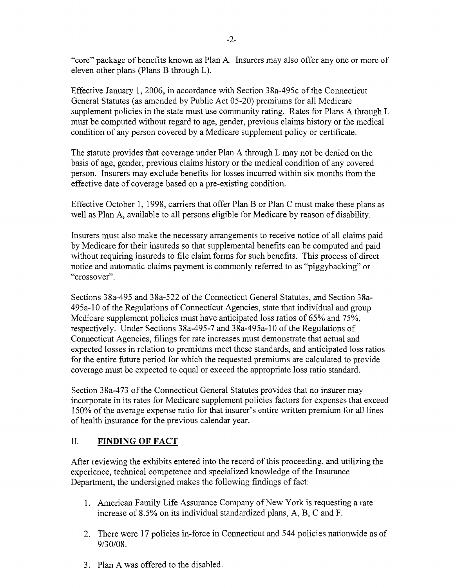"core" package of benefits known as Plan A. Insurers may also offer anyone or more of eleven other plans (Plans B through L).

Effective January 1,2006, in accordance with Section 38a-495c ofthe Connecticut General Statutes (as amended by Public Act 05-20) premiums for all Medicare supplement policies in the state must use community rating. Rates for Plans A through L must be computed without regard to age, gender, previous claims history or the medical condition of any person covered by a Medicare supplement policy or certificate.

The statute provides that coverage under Plan A through L may not be denied on the basis of age, gender, previous claims history or the medical condition of any covered person. Insurers may exclude benefits for losses incurred within six months from the effective date of coverage based on a pre-existing condition.

Effective October 1, 1998, carriers that offer Plan B or Plan C must make these plans as well as Plan A, available to all persons eligible for Medicare by reason of disability.

Insurers must also make the necessary arrangements to receive notice of all claims paid by Medicare for their insureds so that supplemental benefits can be computed and paid without requiring insureds to file claim forms for such benefits. This process of direct notice and automatic claims payment is commonly referred to as "piggybacking" or "crossover".

Sections 38a-495 and 38a-522 of the Connecticut General Statutes, and Section 38a-495a-l0 of the Regulations of Connecticut Agencies, state that individual and group Medicare supplement policies must have anticipated loss ratios of 65% and 75%, respectively. Under Sections 38a-495-7 and 38a-495a-l0 ofthe Regulations of Connecticut Agencies, filings for rate increases must demonstrate that actual and expected losses in relation to premiums meet these standards, and anticipated loss ratios for the entire future period for which the requested premiums are calculated to provide coverage must be expected to equal or exceed the appropriate loss ratio standard.

Section 38a-473 of the Connecticut General Statutes provides that no insurer may incorporate in its rates for Medicare supplement policies factors for expenses that exceed 150% of the average expense ratio for that insurer's entire written premium for all lines of health insurance for the previous calendar year.

### II. **FINDING OF FACT**

After reviewing the exhibits entered into the record of this proceeding, and utilizing the experience, technical competence and specialized knowledge of the Insurance Department, the undersigned makes the following findings of fact:

- 1. American Family Life Assurance Company of New York is requesting a rate increase of 8.5% on its individual standardized plans, A, B, C and F.
- 2. There were 17 policies in-force in Connecticut and 544 policies nationwide as of 9/30/08.
- 3. Plan A was offered to the disabled.